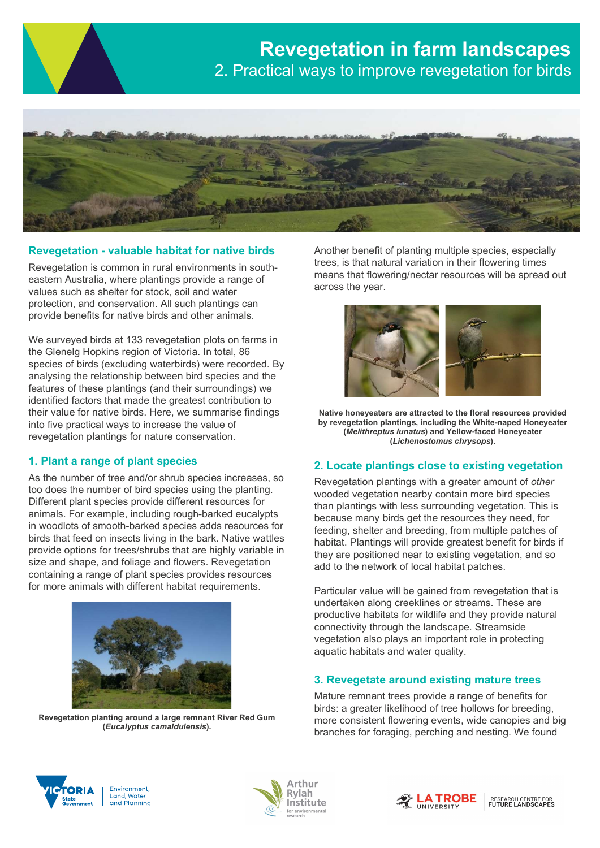

## Revegetation - valuable habitat for native birds

Revegetation is common in rural environments in southeastern Australia, where plantings provide a range of values such as shelter for stock, soil and water protection, and conservation. All such plantings can provide benefits for native birds and other animals.

We surveyed birds at 133 revegetation plots on farms in the Glenelg Hopkins region of Victoria. In total, 86 species of birds (excluding waterbirds) were recorded. By analysing the relationship between bird species and the features of these plantings (and their surroundings) we identified factors that made the greatest contribution to their value for native birds. Here, we summarise findings into five practical ways to increase the value of revegetation plantings for nature conservation.

### 1. Plant a range of plant species

As the number of tree and/or shrub species increases, so too does the number of bird species using the planting. Different plant species provide different resources for animals. For example, including rough-barked eucalypts in woodlots of smooth-barked species adds resources for birds that feed on insects living in the bark. Native wattles provide options for trees/shrubs that are highly variable in size and shape, and foliage and flowers. Revegetation containing a range of plant species provides resources for more animals with different habitat requirements.



Revegetation planting around a large remnant River Red Gum (Eucalyptus camaldulensis).

Another benefit of planting multiple species, especially trees, is that natural variation in their flowering times means that flowering/nectar resources will be spread out across the year.



Native honeyeaters are attracted to the floral resources provided by revegetation plantings, including the White-naped Honeyeater (Melithreptus lunatus) and Yellow-faced Honeyeater (Lichenostomus chrysops).

### 2. Locate plantings close to existing vegetation

Revegetation plantings with a greater amount of other wooded vegetation nearby contain more bird species than plantings with less surrounding vegetation. This is because many birds get the resources they need, for feeding, shelter and breeding, from multiple patches of habitat. Plantings will provide greatest benefit for birds if they are positioned near to existing vegetation, and so add to the network of local habitat patches.

Particular value will be gained from revegetation that is undertaken along creeklines or streams. These are productive habitats for wildlife and they provide natural connectivity through the landscape. Streamside vegetation also plays an important role in protecting aquatic habitats and water quality.

## 3. Revegetate around existing mature trees

Mature remnant trees provide a range of benefits for birds: a greater likelihood of tree hollows for breeding, more consistent flowering events, wide canopies and big branches for foraging, perching and nesting. We found